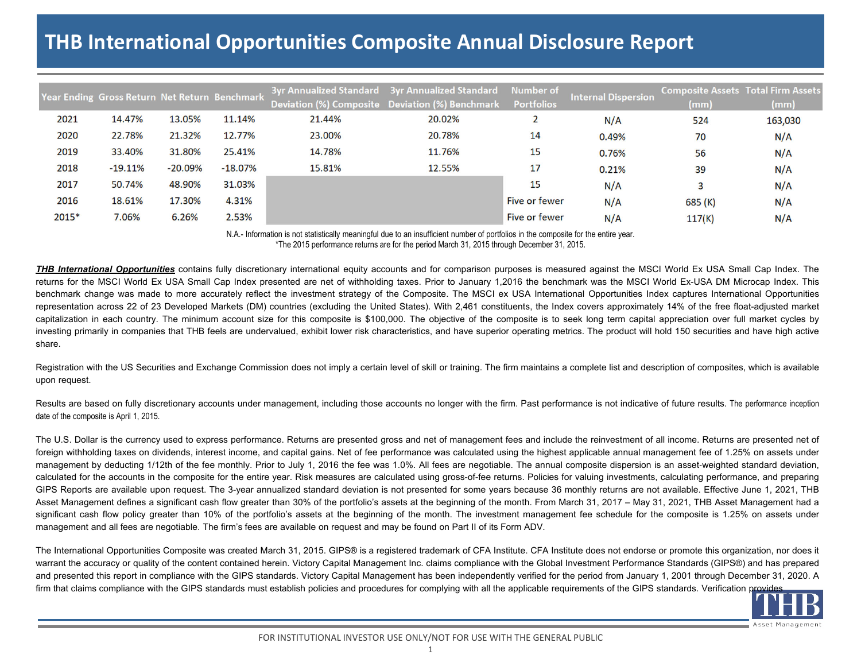## **THB International Opportunities Composite Annual Disclosure Report**

|       | Year Ending Gross Return Net Return <u> Benchmark</u> |           |           |        | 3yr Annualized Standard 3yr Annualized Standard<br>Deviation (%) Composite Deviation (%) Benchmark | Number of<br><b>Portfolios</b> | <b>Internal Dispersion</b> | <b>Composite Assets Total Firm Assets</b><br>(mm) | (mm)    |
|-------|-------------------------------------------------------|-----------|-----------|--------|----------------------------------------------------------------------------------------------------|--------------------------------|----------------------------|---------------------------------------------------|---------|
| 2021  | 14.47%                                                | 13.05%    | 11.14%    | 21.44% | 20.02%                                                                                             |                                | N/A                        | 524                                               | 163,030 |
| 2020  | 22.78%                                                | 21.32%    | 12.77%    | 23.00% | 20.78%                                                                                             | 14                             | 0.49%                      | 70                                                | N/A     |
| 2019  | 33.40%                                                | 31.80%    | 25.41%    | 14.78% | 11.76%                                                                                             | 15                             | 0.76%                      | 56                                                | N/A     |
| 2018  | $-19.11%$                                             | $-20.09%$ | $-18.07%$ | 15.81% | 12.55%                                                                                             | 17                             | 0.21%                      | 39                                                | N/A     |
| 2017  | 50.74%                                                | 48.90%    | 31.03%    |        |                                                                                                    | 15                             | N/A                        |                                                   | N/A     |
| 2016  | 18.61%                                                | 17.30%    | 4.31%     |        |                                                                                                    | Five or fewer                  | N/A                        | 685 (K)                                           | N/A     |
| 2015* | 7.06%                                                 | 6.26%     | 2.53%     |        |                                                                                                    | Five or fewer                  | N/A                        | 117(K)                                            | N/A     |

N.A.- Information is not statistically meaningful due to an insufficient number of portfolios in the composite for the entire year. \*The 2015 performance returns are for the period March 31, 2015 through December 31, 2015.

**THB** International Opportunities contains fully discretionary international equity accounts and for comparison purposes is measured against the MSCI World Ex USA Small Cap Index. The returns for the MSCI World Ex USA Small Cap Index presented are net of withholding taxes. Prior to January 1,2016 the benchmark was the MSCI World Ex-USA DM Microcap Index. This benchmark change was made to more accurately reflect the investment strategy of the Composite. The MSCI ex USA International Opportunities Index captures International Opportunities representation across 22 of 23 Developed Markets (DM) countries (excluding the United States). With 2,461 constituents, the Index covers approximately 14% of the free float-adjusted market capitalization in each country. The minimum account size for this composite is \$100,000. The objective of the composite is to seek long term capital appreciation over full market cycles by investing primarily in companies that THB feels are undervalued, exhibit lower risk characteristics, and have superior operating metrics. The product will hold 150 securities and have high active share.

Registration with the US Securities and Exchange Commission does not imply a certain level of skill or training. The firm maintains a complete list and description of composites, which is available upon request.

Results are based on fully discretionary accounts under management, including those accounts no longer with the firm. Past performance is not indicative of future results. The performance inception date of the composite is April 1, 2015.

The U.S. Dollar is the currency used to express performance. Returns are presented gross and net of management fees and include the reinvestment of all income. Returns are presented net of foreign withholding taxes on dividends, interest income, and capital gains. Net of fee performance was calculated using the highest applicable annual management fee of 1.25% on assets under management by deducting 1/12th of the fee monthly. Prior to July 1, 2016 the fee was 1.0%. All fees are negotiable. The annual composite dispersion is an asset-weighted standard deviation, calculated for the accounts in the composite for the entire year. Risk measures are calculated using gross-of-fee returns. Policies for valuing investments, calculating performance, and preparing GIPS Reports are available upon request. The 3-year annualized standard deviation is not presented for some years because 36 monthly returns are not available. Effective June 1, 2021, THB Asset Management defines <sup>a</sup> significant cash flow greater than 30% of the portfolio's assets at the beginning of the month. From March 31, 2017 – May 31, 2021, THB Asset Management had <sup>a</sup> significant cash flow policy greater than 10% of the portfolio's assets at the beginning of the month. The investment management fee schedule for the composite is 1.25% on assets under management and all fees are negotiable. The firm's fees are available on request and may be found on Part II of its Form ADV.

The International Opportunities Composite was created March 31, 2015. GIPS® is a registered trademark of CFA Institute. CFA Institute does not endorse or promote this organization, nor does it warrant the accuracy or quality of the content contained herein. Victory Capital Management Inc. claims compliance with the Global Investment Performance Standards (GIPS®) and has prepared and presented this report in compliance with the GIPS standards. Victory Capital Management has been independently verified for the period from January 1, 2001 through December 31, 2020. A firm that claims compliance with the GIPS standards must establish policies and procedures for complying with all the applicable requirements of the GIPS standards. Verification provides



FOR INSTITUTIONAL INVESTOR USE ONLY/NOT FOR USE WITH THE GENERAL PUBLIC